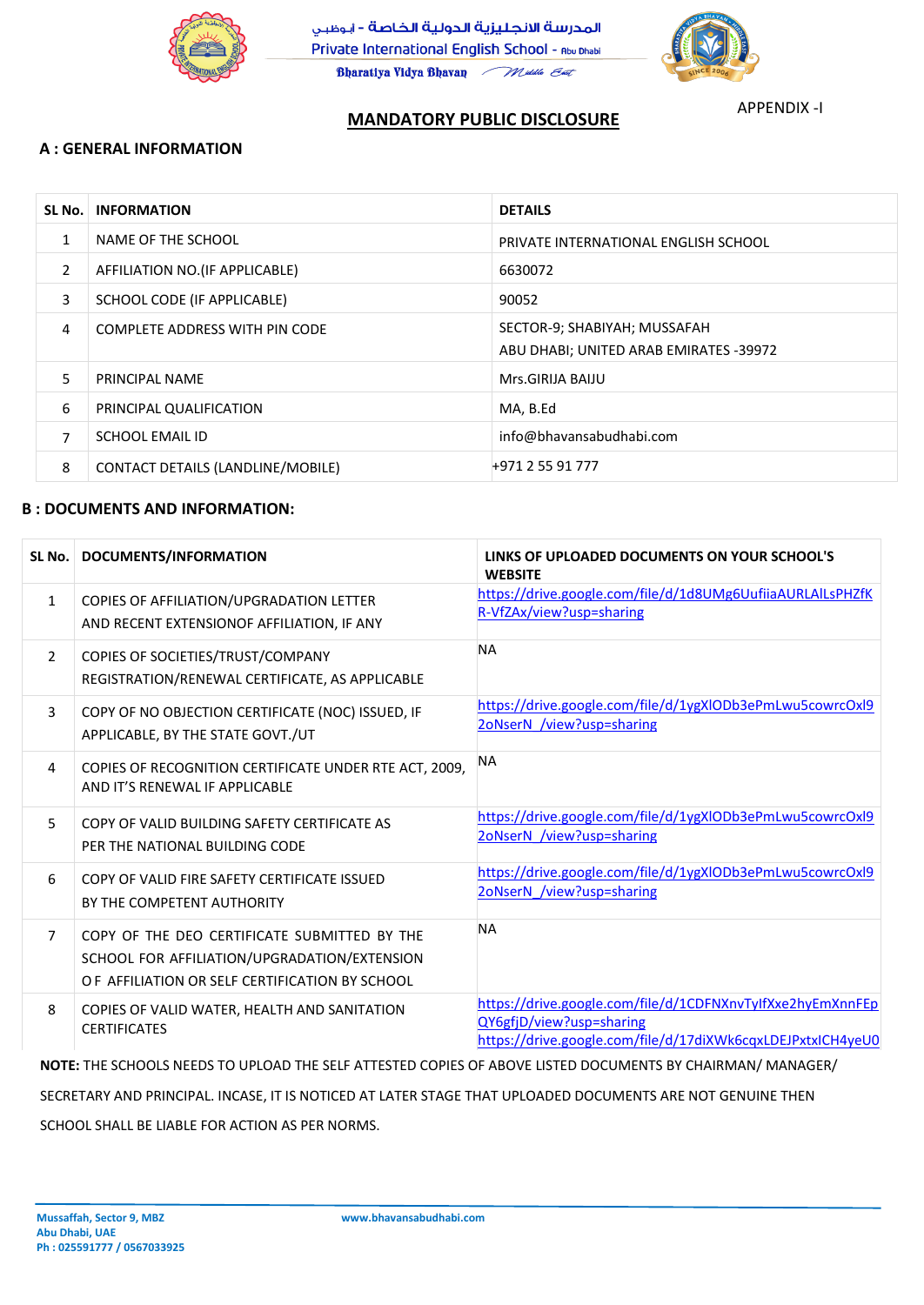



**Mussaffah, Sector 9, MBZ www.bhavansabudhabi.com**

**Abu Dhabi, UAE Ph : 025591777 / 0567033925**

#### **A : GENERAL INFORMATION**

#### **B : DOCUMENTS AND INFORMATION:**

## **MANDATORY PUBLIC DISCLOSURE**

### APPENDIX -I

| SL No.         | <b>INFORMATION</b>                       | <b>DETAILS</b>                                                         |
|----------------|------------------------------------------|------------------------------------------------------------------------|
| $\mathbf{1}$   | NAME OF THE SCHOOL                       | PRIVATE INTERNATIONAL ENGLISH SCHOOL                                   |
| $\overline{2}$ | AFFILIATION NO.(IF APPLICABLE)           | 6630072                                                                |
| 3              | SCHOOL CODE (IF APPLICABLE)              | 90052                                                                  |
| $\overline{4}$ | <b>COMPLETE ADDRESS WITH PIN CODE</b>    | SECTOR-9; SHABIYAH; MUSSAFAH<br>ABU DHABI; UNITED ARAB EMIRATES -39972 |
| 5              | <b>PRINCIPAL NAME</b>                    | Mrs.GIRIJA BAIJU                                                       |
| 6              | PRINCIPAL QUALIFICATION                  | MA, B.Ed                                                               |
| $\overline{7}$ | <b>SCHOOL EMAIL ID</b>                   | info@bhavansabudhabi.com                                               |
| 8              | <b>CONTACT DETAILS (LANDLINE/MOBILE)</b> | +971 2 55 91 777                                                       |

|                | SL No.   DOCUMENTS/INFORMATION                                                                                                                 | LINKS OF UPLOADED DOCUMENTS ON YOUR SCHOOL'S<br><b>WEBSITE</b>                         |
|----------------|------------------------------------------------------------------------------------------------------------------------------------------------|----------------------------------------------------------------------------------------|
| $\mathbf{1}$   | COPIES OF AFFILIATION/UPGRADATION LETTER<br>AND RECENT EXTENSIONOF AFFILIATION, IF ANY                                                         | https://drive.google.com/file/d/1d8UMg6UufiiaAURLAlLsPHZfK<br>R-VfZAx/view?usp=sharing |
| $\overline{2}$ | COPIES OF SOCIETIES/TRUST/COMPANY<br>REGISTRATION/RENEWAL CERTIFICATE, AS APPLICABLE                                                           | <b>NA</b>                                                                              |
| 3              | COPY OF NO OBJECTION CERTIFICATE (NOC) ISSUED, IF<br>APPLICABLE, BY THE STATE GOVT./UT                                                         | https://drive.google.com/file/d/1ygXlODb3ePmLwu5cowrcOxl9<br>2oNserN /view?usp=sharing |
| $\overline{4}$ | COPIES OF RECOGNITION CERTIFICATE UNDER RTE ACT, 2009,<br>AND IT'S RENEWAL IF APPLICABLE                                                       | <b>NA</b>                                                                              |
| 5              | COPY OF VALID BUILDING SAFETY CERTIFICATE AS<br>PER THE NATIONAL BUILDING CODE                                                                 | https://drive.google.com/file/d/1ygXlODb3ePmLwu5cowrcOxl9<br>2oNserN /view?usp=sharing |
| 6              | COPY OF VALID FIRE SAFETY CERTIFICATE ISSUED<br>BY THE COMPETENT AUTHORITY                                                                     | https://drive.google.com/file/d/1ygXlODb3ePmLwu5cowrcOxl9<br>2oNserN /view?usp=sharing |
| $\overline{7}$ | COPY OF THE DEO CERTIFICATE SUBMITTED BY THE<br>SCHOOL FOR AFFILIATION/UPGRADATION/EXTENSION<br>OF AFFILIATION OR SELF CERTIFICATION BY SCHOOL | <b>NA</b>                                                                              |

O F AFFILIATION OR SELF CERTIFICATION BY SCHOOL

8 COPIES OF VALID WATER, HEALTH AND SANITATION **CERTIFICATES** 

[https://drive.google.com/file/d/1CDFNXnvTyIfXxe2hyEmXnnFEp](https://drive.google.com/file/d/1CDFNXnvTyIfXxe2hyEmXnnFEpQY6gfjD/view?usp=sharing) [QY6gfjD/view?usp=sharing](https://drive.google.com/file/d/1CDFNXnvTyIfXxe2hyEmXnnFEpQY6gfjD/view?usp=sharing) [https://drive.google.com/file/d/17diXWk6cqxLDEJPxtxICH4yeU0](https://drive.google.com/file/d/17diXWk6cqxLDEJPxtxICH4yeU0r02y3u/view?usp=sharing)

NOTE: THE SCHOOLS NEEDS TO UPLOAD THE SELF ATTESTED COPIES OF ABOVE LISTED DOCUMENTS BY CHAIRMAN/ MANAGER/

SECRETARY AND PRINCIPAL. INCASE, IT IS NOTICED AT LATER STAGE THAT UPLOADED DOCUMENTS ARE NOT GENUINE THEN

SCHOOL SHALL BE LIABLE FOR ACTION AS PER NORMS.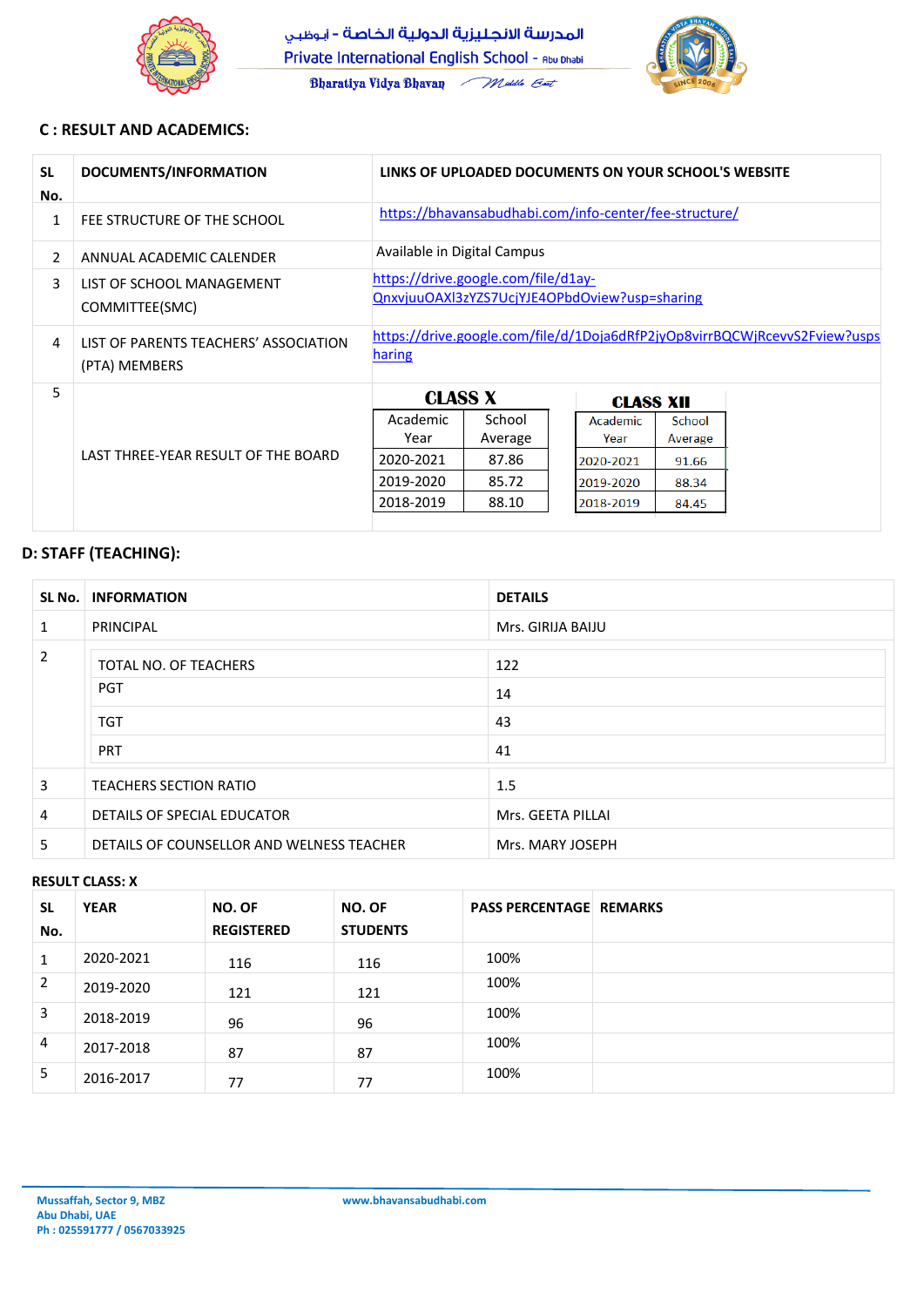

Bharatiya Vidya Bhavan Middle Ent



**Mussaffah, Sector 9, MBZ www.bhavansabudhabi.com**

**Abu Dhabi, UAE Ph : 025591777 / 0567033925**

### **C : RESULT AND ACADEMICS:**

| <b>SL</b><br>No. | DOCUMENTS/INFORMATION                                  | LINKS OF UPLOADED DOCUMENTS ON YOUR SCHOOL'S WEBSITE                                        |                                     |  |                                            |                                     |  |
|------------------|--------------------------------------------------------|---------------------------------------------------------------------------------------------|-------------------------------------|--|--------------------------------------------|-------------------------------------|--|
| $\mathbf{1}$     | FEE STRUCTURE OF THE SCHOOL                            | https://bhavansabudhabi.com/info-center/fee-structure/                                      |                                     |  |                                            |                                     |  |
| $\overline{2}$   | ANNUAL ACADEMIC CALENDER                               | Available in Digital Campus                                                                 |                                     |  |                                            |                                     |  |
| 3                | LIST OF SCHOOL MANAGEMENT<br>COMMITTEE(SMC)            | https://drive.google.com/file/d1ay-<br>QnxvjuuOAXl3zYZS7UcjYJE4OPbdOview?usp=sharing        |                                     |  |                                            |                                     |  |
| $\overline{4}$   | LIST OF PARENTS TEACHERS' ASSOCIATION<br>(PTA) MEMBERS | https://drive.google.com/file/d/1Doja6dRfP2jyOp8virrBQCWjRcevvS2Fview?usps<br><b>haring</b> |                                     |  |                                            |                                     |  |
| 5                |                                                        | <b>CLASS X</b>                                                                              |                                     |  | <b>CLASS XII</b>                           |                                     |  |
|                  | LAST THREE-YEAR RESULT OF THE BOARD                    | Academic<br>Year<br>2020-2021<br>2019-2020                                                  | School<br>Average<br>87.86<br>85.72 |  | Academic<br>Year<br>2020-2021<br>2019-2020 | School<br>Average<br>91.66<br>88.34 |  |
|                  |                                                        | 2018-2019                                                                                   | 88.10                               |  | 2018-2019                                  | 84.45                               |  |

| SL No.         | <b>INFORMATION</b>                        | <b>DETAILS</b>    |  |
|----------------|-------------------------------------------|-------------------|--|
| $\mathbf{1}$   | PRINCIPAL                                 | Mrs. GIRIJA BAIJU |  |
| $\overline{2}$ | <b>TOTAL NO. OF TEACHERS</b>              | 122               |  |
|                | <b>PGT</b>                                | 14                |  |
|                | <b>TGT</b>                                | 43                |  |
|                | <b>PRT</b>                                | 41                |  |
| 3              | <b>TEACHERS SECTION RATIO</b>             | 1.5               |  |
| 4              | DETAILS OF SPECIAL EDUCATOR               | Mrs. GEETA PILLAI |  |
| 5              | DETAILS OF COUNSELLOR AND WELNESS TEACHER | Mrs. MARY JOSEPH  |  |

# **D: STAFF (TEACHING):**

#### **RESULT CLASS: X**

| <b>SL</b><br>No. | <b>YEAR</b> | NO. OF<br><b>REGISTERED</b> | NO. OF<br><b>STUDENTS</b> | <b>PASS PERCENTAGE REMARKS</b> |  |
|------------------|-------------|-----------------------------|---------------------------|--------------------------------|--|
| $\mathbf{1}$     | 2020-2021   | 116                         | 116                       | 100%                           |  |
| $\overline{2}$   | 2019-2020   | 121                         | 121                       | 100%                           |  |
| 3                | 2018-2019   | 96                          | 96                        | 100%                           |  |
| $\overline{4}$   | 2017-2018   | 87                          | 87                        | 100%                           |  |
| 5                | 2016-2017   | 77                          | 77                        | 100%                           |  |